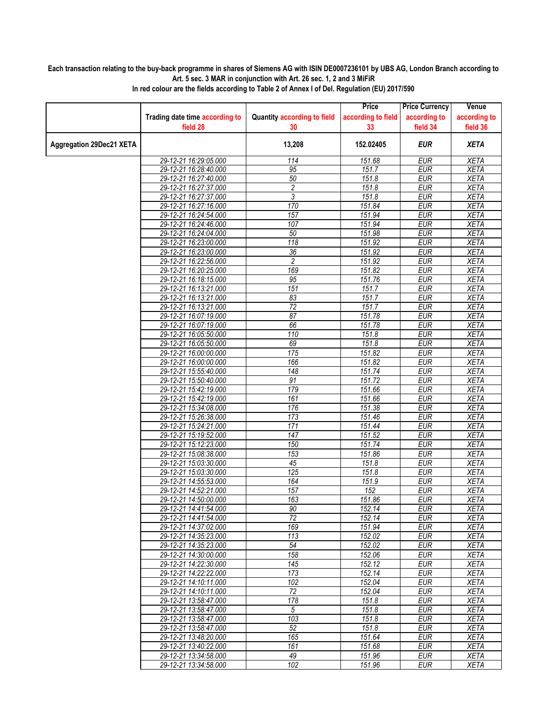## **Each transaction relating to the buy-back programme in shares of Siemens AG with ISIN DE0007236101 by UBS AG, London Branch according to Art. 5 sec. 3 MAR in conjunction with Art. 26 sec. 1, 2 and 3 MiFiR**

|                                 |                                |                                    | Price              | <b>Price Currency</b> | Venue        |
|---------------------------------|--------------------------------|------------------------------------|--------------------|-----------------------|--------------|
|                                 | Trading date time according to | <b>Quantity according to field</b> | according to field | according to          | according to |
|                                 | field 28                       | 30                                 | 33                 | field 34              | field 36     |
| <b>Aggregation 29Dec21 XETA</b> |                                | 13,208                             | 152.02405          | <b>EUR</b>            | <b>XETA</b>  |
|                                 | 29-12-21 16:29:05.000          | 114                                | 151.68             | <b>EUR</b>            | <b>XETA</b>  |
|                                 | 29-12-21 16:28:40.000          | 95                                 | 151.7              | <b>EUR</b>            | <b>XETA</b>  |
|                                 | 29-12-21 16:27:40.000          | 50                                 | 151.8              | <b>EUR</b>            | <b>XETA</b>  |
|                                 | 29-12-21 16:27:37.000          | 2                                  | 151.8              | <b>EUR</b>            | <b>XETA</b>  |
|                                 | 29-12-21 16:27:37.000          | 3                                  | 151.8              | <b>EUR</b>            | <b>XETA</b>  |
|                                 | 29-12-21 16:27:16.000          | 170                                | 151.84             | <b>EUR</b>            | <b>XETA</b>  |
|                                 | 29-12-21 16:24:54.000          | 157                                | 151.94             | <b>EUR</b>            | <b>XETA</b>  |
|                                 | 29-12-21 16:24:46.000          | 107                                | 151.94             | <b>EUR</b>            | <b>XETA</b>  |
|                                 | 29-12-21 16:24:04.000          | 50                                 | 151.98             | <b>EUR</b>            | <b>XETA</b>  |
|                                 | 29-12-21 16:23:00.000          | 118                                | 151.92             | <b>EUR</b>            | <b>XETA</b>  |
|                                 | 29-12-21 16:23:00.000          | $\overline{36}$                    | 151.92             | <b>EUR</b>            | <b>XETA</b>  |
|                                 | 29-12-21 16:22:56.000          | 2                                  | 151.92             | <b>EUR</b>            | <b>XETA</b>  |
|                                 | 29-12-21 16:20:25.000          | 169                                | 151.82             | <b>EUR</b>            | <b>XETA</b>  |
|                                 | 29-12-21 16:18:15.000          | 95                                 | 151.76             | <b>EUR</b>            | <b>XETA</b>  |
|                                 | 29-12-21 16:13:21.000          | 151                                | 151.7              | <b>EUR</b>            | <b>XETA</b>  |
|                                 | 29-12-21 16:13:21.000          | 83                                 | 151.7              | <b>EUR</b>            | <b>XETA</b>  |
|                                 | 29-12-21 16:13:21.000          | $\overline{72}$                    | 151.7              | <b>EUR</b>            | <b>XETA</b>  |
|                                 | 29-12-21 16:07:19.000          | 87                                 | 151.78             | <b>EUR</b>            | <b>XETA</b>  |
|                                 | 29-12-21 16:07:19.000          | 66                                 | 151.78             | <b>EUR</b>            | <b>XETA</b>  |
|                                 | 29-12-21 16:05:50.000          | 110                                | 151.8              | <b>EUR</b>            | <b>XETA</b>  |
|                                 | 29-12-21 16:05:50.000          | 69                                 | 151.8              | <b>EUR</b>            | <b>XETA</b>  |
|                                 | 29-12-21 16:00:00.000          | 175                                | 151.82             | <b>EUR</b>            | <b>XETA</b>  |
|                                 | 29-12-21 16:00:00.000          | 166                                | 151.82             | <b>EUR</b>            | <b>XETA</b>  |
|                                 | 29-12-21 15:55:40.000          | 148                                | 151.74             | <b>EUR</b>            | <b>XETA</b>  |
|                                 | 29-12-21 15:50:40.000          | 91                                 | 151.72             | <b>EUR</b>            | <b>XETA</b>  |
|                                 | 29-12-21 15:42:19.000          | 179                                | 151.66             | <b>EUR</b>            | <b>XETA</b>  |
|                                 | 29-12-21 15:42:19.000          | 161                                | 151.66             | <b>EUR</b>            | <b>XETA</b>  |
|                                 | 29-12-21 15:34:08.000          | 176                                | 151.38             | <b>EUR</b>            | <b>XETA</b>  |
|                                 | 29-12-21 15:26:38.000          | 173                                | 151.46             | <b>EUR</b>            | <b>XETA</b>  |
|                                 | 29-12-21 15:24:21.000          | 171                                | 151.44             | <b>EUR</b>            | <b>XETA</b>  |
|                                 | 29-12-21 15:19:52.000          | 147                                | 151.52             | <b>EUR</b>            | <b>XETA</b>  |
|                                 | 29-12-21 15:12:23.000          | 150                                | 151.74             | <b>EUR</b>            | <b>XETA</b>  |
|                                 | 29-12-21 15:08:38.000          | 153                                | 151.86             | <b>EUR</b>            | <b>XETA</b>  |
|                                 | 29-12-21 15:03:30.000          | 45                                 | 151.8              | <b>EUR</b>            | <b>XETA</b>  |
|                                 | 29-12-21 15:03:30.000          | 125                                | 151.8              | <b>EUR</b>            | <b>XETA</b>  |
|                                 | 29-12-21 14:55:53.000          | 164                                | 151.9              | <b>EUR</b>            | <b>XETA</b>  |
|                                 | 29-12-21 14:52:21.000          | 157                                | 152                | <b>EUR</b>            | <b>XETA</b>  |
|                                 | 29-12-21 14:50:00.000          | 163                                | 151.86             | <b>EUR</b>            | <b>XETA</b>  |
|                                 | 29-12-21 14:41:54.000          | $90\,$                             | 152.14             | <b>EUR</b>            | <b>XETA</b>  |
|                                 | 29-12-21 14:41:54.000          | $\overline{72}$                    | 152.14             | <b>EUR</b>            | XETA         |
|                                 | 29-12-21 14:37:02.000          | 169                                | 151.94             | <b>EUR</b>            | <b>XETA</b>  |
|                                 | 29-12-21 14:35:23.000          | 113                                | 152.02             | <b>EUR</b>            | XETA         |
|                                 | 29-12-21 14:35:23.000          | 54                                 | 152.02             | <b>EUR</b>            | <b>XETA</b>  |
|                                 | 29-12-21 14:30:00.000          | 158                                | 152.06             | <b>EUR</b>            | <b>XETA</b>  |
|                                 | 29-12-21 14:22:30.000          | 145                                | 152.12             | <b>EUR</b>            | <b>XETA</b>  |
|                                 | 29-12-21 14:22:22.000          | 173                                | 152.14             | <b>EUR</b>            | XETA         |
|                                 | 29-12-21 14:10:11.000          | 102                                | 152.04             | <b>EUR</b>            | <b>XETA</b>  |
|                                 | 29-12-21 14:10:11.000          | 72                                 | 152.04             | <b>EUR</b>            | <b>XETA</b>  |
|                                 | 29-12-21 13:58:47.000          | 178                                | 151.8              | <b>EUR</b>            | XETA         |
|                                 | 29-12-21 13:58:47.000          | 5                                  | 151.8              | <b>EUR</b>            | <b>XETA</b>  |
|                                 | 29-12-21 13:58:47.000          | 103                                | 151.8              | <b>EUR</b>            | <b>XETA</b>  |
|                                 | 29-12-21 13:58:47.000          | 52                                 | 151.8              | <b>EUR</b>            | <b>XETA</b>  |
|                                 | 29-12-21 13:48:20.000          | 165                                | 151.64             | <b>EUR</b>            | XETA         |
|                                 | 29-12-21 13:40:22.000          | 161                                | 151.68             | <b>EUR</b>            | <b>XETA</b>  |
|                                 | 29-12-21 13:34:58.000          | 49                                 | 151.96             | <b>EUR</b>            | <b>XETA</b>  |
|                                 | 29-12-21 13:34:58.000          | 102                                | 151.96             | EUR                   | XETA         |

**In red colour are the fields according to Table 2 of Annex I of Del. Regulation (EU) 2017/590**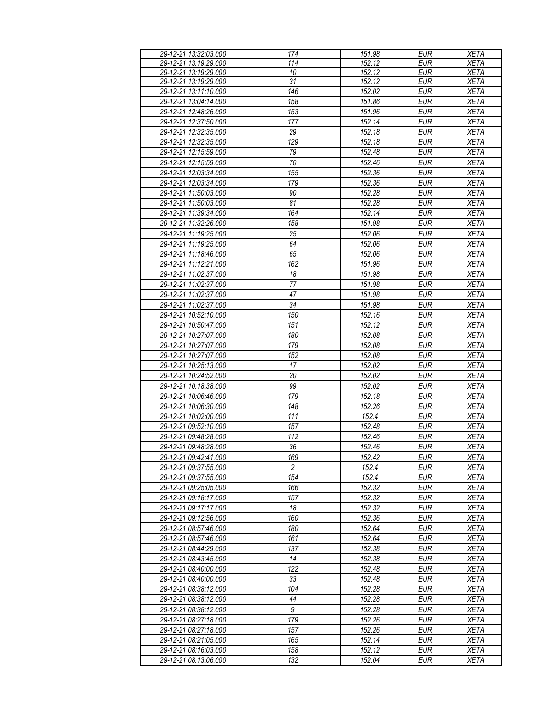| 29-12-21 13:32:03.000 | 174             | 151.98 | <b>EUR</b>       | <b>XETA</b> |
|-----------------------|-----------------|--------|------------------|-------------|
| 29-12-21 13:19:29.000 | 114             | 152.12 | $E\overline{UR}$ | <b>XETA</b> |
| 29-12-21 13:19:29.000 | 10              | 152.12 | <b>EUR</b>       | <b>XETA</b> |
|                       | $\overline{31}$ |        |                  |             |
| 29-12-21 13:19:29.000 |                 | 152.12 | <b>EUR</b>       | <b>XETA</b> |
| 29-12-21 13:11:10.000 | 146             | 152.02 | <b>EUR</b>       | <b>XETA</b> |
| 29-12-21 13:04:14.000 | 158             | 151.86 | <b>EUR</b>       | <b>XETA</b> |
| 29-12-21 12:48:26.000 | 153             | 151.96 | <b>EUR</b>       | <b>XETA</b> |
| 29-12-21 12:37:50.000 | 177             | 152.14 | <b>EUR</b>       | <b>XETA</b> |
| 29-12-21 12:32:35.000 | 29              | 152.18 | <b>EUR</b>       | <b>XETA</b> |
| 29-12-21 12:32:35.000 | 129             | 152.18 | <b>EUR</b>       | <b>XETA</b> |
|                       |                 |        |                  |             |
| 29-12-21 12:15:59.000 | 79              | 152.48 | <b>EUR</b>       | <b>XETA</b> |
| 29-12-21 12:15:59.000 | $\overline{70}$ | 152.46 | <b>EUR</b>       | <b>XETA</b> |
| 29-12-21 12:03:34.000 | 155             | 152.36 | <b>EUR</b>       | <b>XETA</b> |
| 29-12-21 12:03:34.000 | 179             | 152.36 | <b>EUR</b>       | <b>XETA</b> |
| 29-12-21 11:50:03.000 | 90              | 152.28 | <b>EUR</b>       | <b>XETA</b> |
| 29-12-21 11:50:03.000 | 81              | 152.28 | <b>EUR</b>       | <b>XETA</b> |
| 29-12-21 11:39:34.000 | 164             | 152.14 | <b>EUR</b>       | <b>XETA</b> |
|                       |                 |        |                  |             |
| 29-12-21 11:32:26.000 | 158             | 151.98 | <b>EUR</b>       | <b>XETA</b> |
| 29-12-21 11:19:25.000 | 25              | 152.06 | <b>EUR</b>       | <b>XETA</b> |
| 29-12-21 11:19:25.000 | 64              | 152.06 | <b>EUR</b>       | <b>XETA</b> |
| 29-12-21 11:18:46.000 | 65              | 152.06 | <b>EUR</b>       | <b>XETA</b> |
| 29-12-21 11:12:21.000 | 162             | 151.96 | <b>EUR</b>       | <b>XETA</b> |
| 29-12-21 11:02:37.000 | 18              | 151.98 | <b>EUR</b>       | <b>XETA</b> |
|                       |                 |        |                  |             |
| 29-12-21 11:02:37.000 | 77              | 151.98 | <b>EUR</b>       | <b>XETA</b> |
| 29-12-21 11:02:37.000 | 47              | 151.98 | <b>EUR</b>       | <b>XETA</b> |
| 29-12-21 11:02:37.000 | $\overline{34}$ | 151.98 | <b>EUR</b>       | <b>XETA</b> |
| 29-12-21 10:52:10.000 | 150             | 152.16 | <b>EUR</b>       | <b>XETA</b> |
| 29-12-21 10:50:47.000 | 151             | 152.12 | <b>EUR</b>       | <b>XETA</b> |
| 29-12-21 10:27:07.000 | 180             | 152.08 | <b>EUR</b>       | <b>XETA</b> |
| 29-12-21 10:27:07.000 | 179             | 152.08 | <b>EUR</b>       | <b>XETA</b> |
|                       |                 |        |                  |             |
| 29-12-21 10:27:07.000 | 152             | 152.08 | <b>EUR</b>       | <b>XETA</b> |
| 29-12-21 10:25:13.000 | 17              | 152.02 | <b>EUR</b>       | <b>XETA</b> |
| 29-12-21 10:24:52.000 | 20              | 152.02 | <b>EUR</b>       | <b>XETA</b> |
| 29-12-21 10:18:38.000 | 99              | 152.02 | <b>EUR</b>       | <b>XETA</b> |
| 29-12-21 10:06:46.000 | 179             | 152.18 | <b>EUR</b>       | <b>XETA</b> |
| 29-12-21 10:06:30.000 | 148             | 152.26 | <b>EUR</b>       | <b>XETA</b> |
| 29-12-21 10:02:00.000 | 111             | 152.4  | <b>EUR</b>       | <b>XETA</b> |
|                       |                 |        |                  |             |
| 29-12-21 09:52:10.000 | 157             | 152.48 | <b>EUR</b>       | <b>XETA</b> |
| 29-12-21 09:48:28.000 | 112             | 152.46 | <b>EUR</b>       | <b>XETA</b> |
| 29-12-21 09:48:28.000 | 36              | 152.46 | <b>EUR</b>       | <b>XETA</b> |
| 29-12-21 09:42:41.000 | 169             | 152.42 | <b>EUR</b>       | <b>XETA</b> |
| 29-12-21 09:37:55.000 | $\overline{2}$  | 152.4  | EUR              | XETA        |
| 29-12-21 09:37:55.000 | 154             | 152.4  | <b>EUR</b>       | <b>XETA</b> |
|                       | 166             | 152.32 | <b>EUR</b>       |             |
| 29-12-21 09:25:05.000 |                 |        |                  | <b>XETA</b> |
| 29-12-21 09:18:17.000 | 157             | 152.32 | EUR              | XETA        |
| 29-12-21 09:17:17.000 | 18              | 152.32 | <b>EUR</b>       | <b>XETA</b> |
| 29-12-21 09:12:56.000 | 160             | 152.36 | <b>EUR</b>       | <b>XETA</b> |
| 29-12-21 08:57:46.000 | 180             | 152.64 | <b>EUR</b>       | <b>XETA</b> |
| 29-12-21 08:57:46.000 | 161             | 152.64 | <b>EUR</b>       | <b>XETA</b> |
| 29-12-21 08:44:29.000 | 137             | 152.38 | <b>EUR</b>       | <b>XETA</b> |
| 29-12-21 08:43:45.000 | 14              | 152.38 | <b>EUR</b>       | <b>XETA</b> |
|                       |                 |        |                  |             |
| 29-12-21 08:40:00.000 | 122             | 152.48 | EUR              | <b>XETA</b> |
| 29-12-21 08:40:00.000 | 33              | 152.48 | <b>EUR</b>       | <b>XETA</b> |
| 29-12-21 08:38:12.000 | 104             | 152.28 | EUR              | <b>XETA</b> |
| 29-12-21 08:38:12.000 | 44              | 152.28 | <b>EUR</b>       | <b>XETA</b> |
| 29-12-21 08:38:12.000 | $\overline{9}$  | 152.28 | <b>EUR</b>       | <b>XETA</b> |
| 29-12-21 08:27:18.000 | 179             | 152.26 | <b>EUR</b>       | <b>XETA</b> |
| 29-12-21 08:27:18.000 | 157             | 152.26 | <b>EUR</b>       | <b>XETA</b> |
|                       | 165             | 152.14 |                  |             |
| 29-12-21 08:21:05.000 |                 |        | EUR              | XETA        |
| 29-12-21 08:16:03.000 | 158             | 152.12 | EUR              | <b>XETA</b> |
| 29-12-21 08:13:06.000 | 132             | 152.04 | EUR              | <b>XETA</b> |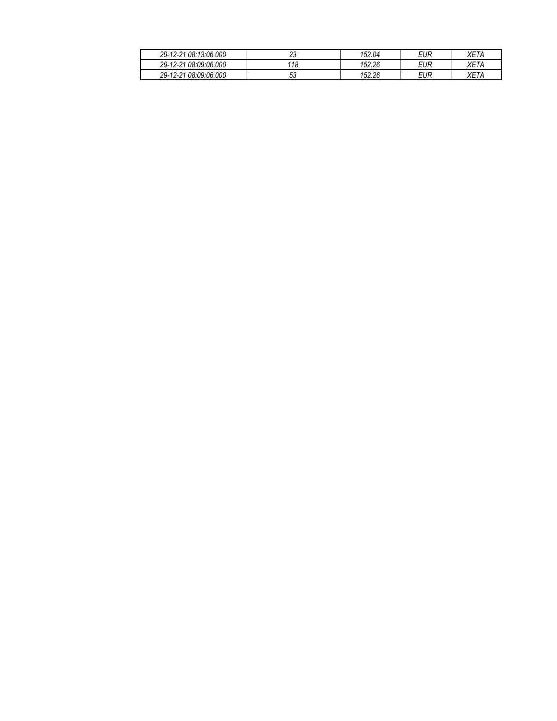| 08:13:06.000<br>29-<br>$\sqrt{2}$    | $\sim$<br>້ | 02.04 ، | <b>EUR</b> | $\sim$<br>VL.<br>. Ι Α |
|--------------------------------------|-------------|---------|------------|------------------------|
| 08:09:06.000<br>$29 - 12 - 21$       | 118         | 152.26  | EUR        | $-$<br>VL.<br>IΑ       |
| 08:09:06.000<br>$29 - 12 - 2$<br>ົດ- | υu          | 152.26  | EUR        | $- -$<br>VL.           |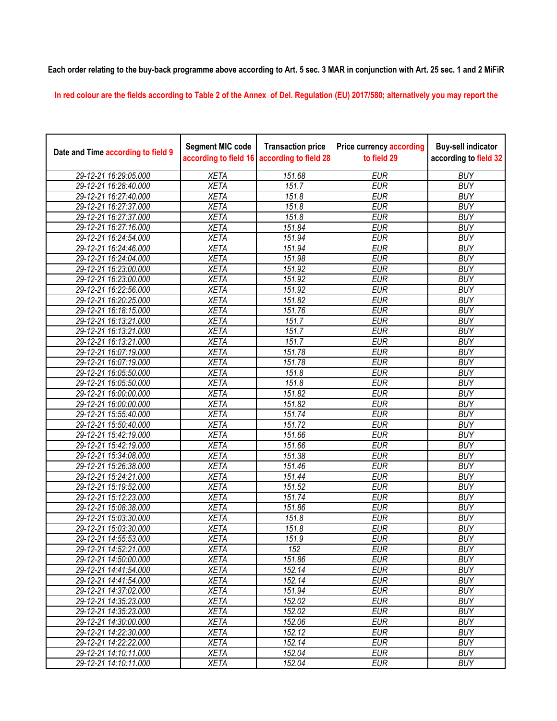**Each order relating to the buy-back programme above according to Art. 5 sec. 3 MAR in conjunction with Art. 25 sec. 1 and 2 MiFiR** 

**In red colour are the fields according to Table 2 of the Annex of Del. Regulation (EU) 2017/580; alternatively you may report the** 

| Date and Time according to field 9 | <b>Segment MIC code</b><br>according to field 16 | <b>Transaction price</b><br>according to field 28 | <b>Price currency according</b><br>to field 29 | <b>Buy-sell indicator</b><br>according to field 32 |
|------------------------------------|--------------------------------------------------|---------------------------------------------------|------------------------------------------------|----------------------------------------------------|
| 29-12-21 16:29:05.000              | <b>XETA</b>                                      | 151.68                                            | <b>EUR</b>                                     | <b>BUY</b>                                         |
| 29-12-21 16:28:40.000              | <b>XETA</b>                                      | 151.7                                             | <b>EUR</b>                                     | <b>BUY</b>                                         |
| 29-12-21 16:27:40.000              | <b>XETA</b>                                      | 151.8                                             | <b>EUR</b>                                     | <b>BUY</b>                                         |
| 29-12-21 16:27:37.000              | <b>XETA</b>                                      | 151.8                                             | <b>EUR</b>                                     | <b>BUY</b>                                         |
| 29-12-21 16:27:37.000              | <b>XETA</b>                                      | 151.8                                             | <b>EUR</b>                                     | <b>BUY</b>                                         |
| 29-12-21 16:27:16.000              | <b>XETA</b>                                      | 151.84                                            | <b>EUR</b>                                     | <b>BUY</b>                                         |
| 29-12-21 16:24:54.000              | <b>XETA</b>                                      | 151.94                                            | <b>EUR</b>                                     | <b>BUY</b>                                         |
| 29-12-21 16:24:46.000              | <b>XETA</b>                                      | 151.94                                            | <b>EUR</b>                                     | <b>BUY</b>                                         |
| 29-12-21 16:24:04.000              | <b>XETA</b>                                      | 151.98                                            | <b>EUR</b>                                     | <b>BUY</b>                                         |
| 29-12-21 16:23:00.000              | <b>XETA</b>                                      | 151.92                                            | <b>EUR</b>                                     | <b>BUY</b>                                         |
| 29-12-21 16:23:00.000              | <b>XETA</b>                                      | 151.92                                            | <b>EUR</b>                                     | <b>BUY</b>                                         |
| 29-12-21 16:22:56.000              | <b>XETA</b>                                      | 151.92                                            | <b>EUR</b>                                     | <b>BUY</b>                                         |
| 29-12-21 16:20:25.000              | <b>XETA</b>                                      | 151.82                                            | <b>EUR</b>                                     | <b>BUY</b>                                         |
| 29-12-21 16:18:15.000              | <b>XETA</b>                                      | 151.76                                            | <b>EUR</b>                                     | <b>BUY</b>                                         |
| 29-12-21 16:13:21.000              | <b>XETA</b>                                      | 151.7                                             | <b>EUR</b>                                     | <b>BUY</b>                                         |
| 29-12-21 16:13:21.000              | <b>XETA</b>                                      | 151.7                                             | <b>EUR</b>                                     | <b>BUY</b>                                         |
| 29-12-21 16:13:21.000              | <b>XETA</b>                                      | 151.7                                             | <b>EUR</b>                                     | <b>BUY</b>                                         |
| 29-12-21 16:07:19.000              | <b>XETA</b>                                      | 151.78                                            | <b>EUR</b>                                     | <b>BUY</b>                                         |
| 29-12-21 16:07:19.000              | <b>XETA</b>                                      | 151.78                                            | <b>EUR</b>                                     | <b>BUY</b>                                         |
| 29-12-21 16:05:50.000              | <b>XETA</b>                                      | 151.8                                             | <b>EUR</b>                                     | <b>BUY</b>                                         |
| 29-12-21 16:05:50.000              | <b>XETA</b>                                      | 151.8                                             | <b>EUR</b>                                     | <b>BUY</b>                                         |
| 29-12-21 16:00:00.000              | <b>XETA</b>                                      | 151.82                                            | <b>EUR</b>                                     | <b>BUY</b>                                         |
| 29-12-21 16:00:00.000              | <b>XETA</b>                                      | 151.82                                            | <b>EUR</b>                                     | <b>BUY</b>                                         |
| 29-12-21 15:55:40.000              | <b>XETA</b>                                      | 151.74                                            | <b>EUR</b>                                     | <b>BUY</b>                                         |
| 29-12-21 15:50:40.000              | <b>XETA</b>                                      | 151.72                                            | <b>EUR</b>                                     | <b>BUY</b>                                         |
| 29-12-21 15:42:19.000              | <b>XETA</b>                                      | 151.66                                            | <b>EUR</b>                                     | <b>BUY</b>                                         |
| 29-12-21 15:42:19.000              | <b>XETA</b>                                      | 151.66                                            | <b>EUR</b>                                     | <b>BUY</b>                                         |
| 29-12-21 15:34:08.000              | <b>XETA</b>                                      | 151.38                                            | <b>EUR</b>                                     | <b>BUY</b>                                         |
| 29-12-21 15:26:38.000              | <b>XETA</b>                                      | 151.46                                            | <b>EUR</b>                                     | <b>BUY</b>                                         |
| 29-12-21 15:24:21.000              | <b>XETA</b>                                      | 151.44                                            | <b>EUR</b>                                     | <b>BUY</b>                                         |
| 29-12-21 15:19:52.000              | <b>XETA</b>                                      | 151.52                                            | <b>EUR</b>                                     | <b>BUY</b>                                         |
| 29-12-21 15:12:23.000              | <b>XETA</b>                                      | 151.74                                            | <b>EUR</b>                                     | <b>BUY</b>                                         |
| 29-12-21 15:08:38.000              | <b>XETA</b>                                      | 151.86                                            | <b>EUR</b>                                     | <b>BUY</b>                                         |
| 29-12-21 15:03:30.000              | <b>XETA</b>                                      | 151.8                                             | <b>EUR</b>                                     | <b>BUY</b>                                         |
| 29-12-21 15:03:30.000              | <b>XETA</b>                                      | $151.\overline{8}$                                | <b>EUR</b>                                     | <b>BUY</b>                                         |
| 29-12-21 14:55:53.000              | <b>XETA</b>                                      | 151.9                                             | <b>EUR</b>                                     | <b>BUY</b>                                         |
| 29-12-21 14:52:21.000              | <b>XETA</b>                                      | 152                                               | <b>EUR</b>                                     | <b>BUY</b>                                         |
| 29-12-21 14:50:00.000              | <b>XETA</b>                                      | 151.86                                            | <b>EUR</b>                                     | <b>BUY</b>                                         |
| 29-12-21 14:41:54.000              | <b>XETA</b>                                      | 152.14                                            | <b>EUR</b>                                     | <b>BUY</b>                                         |
| 29-12-21 14:41:54.000              | <b>XETA</b>                                      | 152.14                                            | <b>EUR</b>                                     | <b>BUY</b>                                         |
| 29-12-21 14:37:02.000              | <b>XETA</b>                                      | 151.94                                            | <b>EUR</b>                                     | <b>BUY</b>                                         |
| 29-12-21 14:35:23.000              | <b>XETA</b>                                      | 152.02                                            | <b>EUR</b>                                     | <b>BUY</b>                                         |
| 29-12-21 14:35:23.000              | <b>XETA</b>                                      | 152.02                                            | <b>EUR</b>                                     | <b>BUY</b>                                         |
| 29-12-21 14:30:00.000              | <b>XETA</b>                                      | 152.06                                            | <b>EUR</b>                                     | <b>BUY</b>                                         |
| 29-12-21 14:22:30.000              | <b>XETA</b>                                      | 152.12                                            | <b>EUR</b>                                     | <b>BUY</b>                                         |
| 29-12-21 14:22:22.000              | <b>XETA</b>                                      | 152.14                                            | <b>EUR</b>                                     | <b>BUY</b>                                         |
| 29-12-21 14:10:11.000              | <b>XETA</b>                                      | 152.04                                            | <b>EUR</b>                                     | <b>BUY</b>                                         |
| 29-12-21 14:10:11.000              | <b>XETA</b>                                      | 152.04                                            | <b>EUR</b>                                     | <b>BUY</b>                                         |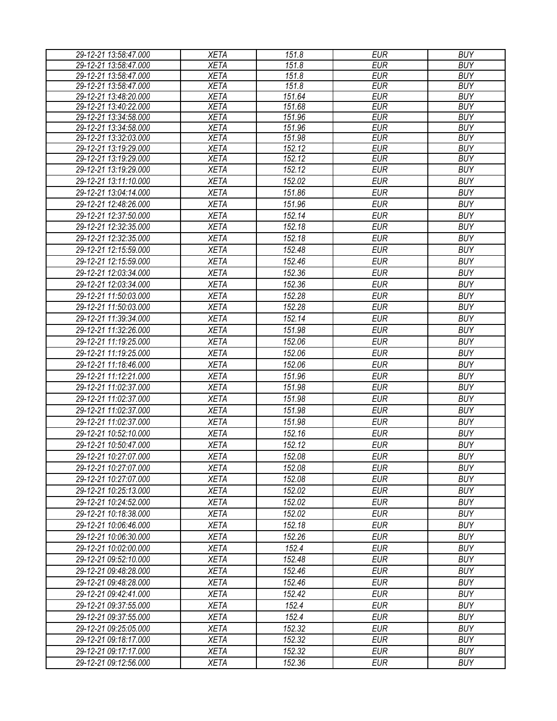| 29-12-21 13:58:47.000                          | <b>XETA</b>                | 151.8               | <b>EUR</b>               | <b>BUY</b>               |
|------------------------------------------------|----------------------------|---------------------|--------------------------|--------------------------|
| 29-12-21 13:58:47.000                          | <b>XETA</b>                | 151.8               | <b>EUR</b>               | <b>BUY</b>               |
| 29-12-21 13:58:47.000                          | <b>XETA</b>                | 151.8               | <b>EUR</b>               | <b>BUY</b>               |
| 29-12-21 13:58:47.000                          | <b>XETA</b>                | 151.8               | <b>EUR</b>               | <b>BUY</b>               |
| 29-12-21 13:48:20.000                          | <b>XETA</b>                | 151.64              | <b>EUR</b>               | <b>BUY</b>               |
| 29-12-21 13:40:22.000                          | <b>XETA</b>                | 151.68              | <b>EUR</b>               | <b>BUY</b>               |
| 29-12-21 13:34:58.000                          | <b>XETA</b>                | 151.96              | <b>EUR</b>               | <b>BUY</b>               |
| 29-12-21 13:34:58.000                          | <b>XETA</b>                | $\overline{151.96}$ | <b>EUR</b>               | <b>BUY</b>               |
| 29-12-21 13:32:03.000                          | <b>XETA</b><br><b>XETA</b> | 151.98<br>152.12    | <b>EUR</b><br><b>EUR</b> | <b>BUY</b><br><b>BUY</b> |
| 29-12-21 13:19:29.000<br>29-12-21 13:19:29.000 | <b>XETA</b>                | 152.12              | <b>EUR</b>               | <b>BUY</b>               |
| 29-12-21 13:19:29.000                          | <b>XETA</b>                | 152.12              | <b>EUR</b>               | <b>BUY</b>               |
| 29-12-21 13:11:10.000                          | <b>XETA</b>                | 152.02              | <b>EUR</b>               | <b>BUY</b>               |
|                                                | <b>XETA</b>                | 151.86              | <b>EUR</b>               | <b>BUY</b>               |
| 29-12-21 13:04:14.000                          |                            |                     |                          |                          |
| 29-12-21 12:48:26.000                          | <b>XETA</b>                | 151.96              | <b>EUR</b>               | <b>BUY</b>               |
| 29-12-21 12:37:50.000                          | <b>XETA</b>                | 152.14              | <b>EUR</b>               | <b>BUY</b>               |
| 29-12-21 12:32:35.000                          | <b>XETA</b>                | 152.18              | <b>EUR</b>               | <b>BUY</b>               |
| 29-12-21 12:32:35.000                          | <b>XETA</b>                | 152.18              | <b>EUR</b>               | <b>BUY</b>               |
| 29-12-21 12:15:59.000                          | <b>XETA</b>                | 152.48              | <b>EUR</b>               | <b>BUY</b>               |
| 29-12-21 12:15:59.000                          | <b>XETA</b>                | 152.46              | <b>EUR</b>               | <b>BUY</b>               |
| 29-12-21 12:03:34.000                          | <b>XETA</b>                | 152.36              | <b>EUR</b>               | <b>BUY</b>               |
| 29-12-21 12:03:34.000                          | <b>XETA</b>                | 152.36              | <b>EUR</b>               | <b>BUY</b>               |
| 29-12-21 11:50:03.000                          | <b>XETA</b>                | 152.28              | <b>EUR</b>               | <b>BUY</b>               |
| 29-12-21 11:50:03.000                          | <b>XETA</b>                | 152.28              | <b>EUR</b>               | <b>BUY</b>               |
| 29-12-21 11:39:34.000                          | <b>XETA</b>                | 152.14              | <b>EUR</b>               | <b>BUY</b>               |
| 29-12-21 11:32:26.000                          | <b>XETA</b>                | 151.98              | <b>EUR</b>               | <b>BUY</b>               |
| 29-12-21 11:19:25.000                          | <b>XETA</b>                | 152.06              | <b>EUR</b>               | <b>BUY</b>               |
| 29-12-21 11:19:25.000                          | <b>XETA</b>                | 152.06              | <b>EUR</b>               | <b>BUY</b>               |
| 29-12-21 11:18:46.000                          | <b>XETA</b>                | 152.06              | <b>EUR</b>               | <b>BUY</b>               |
| 29-12-21 11:12:21.000                          | <b>XETA</b>                | 151.96              | <b>EUR</b>               | <b>BUY</b>               |
| 29-12-21 11:02:37.000                          | <b>XETA</b>                | 151.98              | <b>EUR</b>               | <b>BUY</b>               |
| 29-12-21 11:02:37.000                          | <b>XETA</b>                | 151.98              | <b>EUR</b>               | <b>BUY</b>               |
| 29-12-21 11:02:37.000                          | <b>XETA</b>                | 151.98              | <b>EUR</b>               | <b>BUY</b>               |
| 29-12-21 11:02:37.000                          | <b>XETA</b>                | 151.98              | <b>EUR</b>               | <b>BUY</b>               |
| 29-12-21 10:52:10.000                          | <b>XETA</b>                | 152.16              | <b>EUR</b>               | <b>BUY</b>               |
| 29-12-21 10:50:47.000                          | <b>XETA</b>                | 152.12              | <b>EUR</b>               | <b>BUY</b>               |
| 29-12-21 10:27:07.000                          | <b>XETA</b>                | 152.08              | <b>EUR</b>               | <b>BUY</b>               |
| 29-12-21 10:27:07.000                          | <b>XETA</b>                | 152.08              | <b>EUR</b>               | <b>BUY</b>               |
| 29-12-21 10:27:07.000                          | <b>XETA</b>                | 152.08              | <b>EUR</b>               | <b>BUY</b>               |
| 29-12-21 10:25:13.000                          | <b>XETA</b>                | 152.02              | <b>EUR</b>               | <b>BUY</b>               |
| 29-12-21 10:24:52.000                          | <b>XETA</b>                | 152.02              | <b>EUR</b>               | <b>BUY</b>               |
| 29-12-21 10:18:38.000                          | <b>XETA</b>                | 152.02              | <b>EUR</b>               | <b>BUY</b>               |
| 29-12-21 10:06:46.000                          | <b>XETA</b>                | 152.18              | <b>EUR</b>               | <b>BUY</b>               |
| 29-12-21 10:06:30.000                          | <b>XETA</b>                | 152.26              | EUR                      | <b>BUY</b>               |
| 29-12-21 10:02:00.000                          | <b>XETA</b>                | 152.4               | <b>EUR</b>               | <b>BUY</b>               |
|                                                |                            |                     |                          |                          |
| 29-12-21 09:52:10.000                          | <b>XETA</b>                | 152.48              | <b>EUR</b>               | <b>BUY</b>               |
| 29-12-21 09:48:28.000                          | <b>XETA</b>                | 152.46              | <b>EUR</b>               | <b>BUY</b>               |
| 29-12-21 09:48:28.000                          | <b>XETA</b>                | 152.46              | <b>EUR</b>               | <b>BUY</b>               |
| 29-12-21 09:42:41.000                          | <b>XETA</b>                | 152.42              | <b>EUR</b>               | <b>BUY</b>               |
| 29-12-21 09:37:55.000                          | <b>XETA</b>                | 152.4               | <b>EUR</b>               | <b>BUY</b>               |
| 29-12-21 09:37:55.000                          | <b>XETA</b>                | 152.4               | <b>EUR</b>               | <b>BUY</b>               |
| 29-12-21 09:25:05.000                          | <b>XETA</b>                | 152.32              | <b>EUR</b>               | <b>BUY</b>               |
| 29-12-21 09:18:17.000                          | <b>XETA</b>                | 152.32              | <b>EUR</b>               | <b>BUY</b>               |
| 29-12-21 09:17:17.000                          | <b>XETA</b>                | 152.32              | EUR                      | <b>BUY</b>               |
| 29-12-21 09:12:56.000                          | <b>XETA</b>                | 152.36              | <b>EUR</b>               | <b>BUY</b>               |